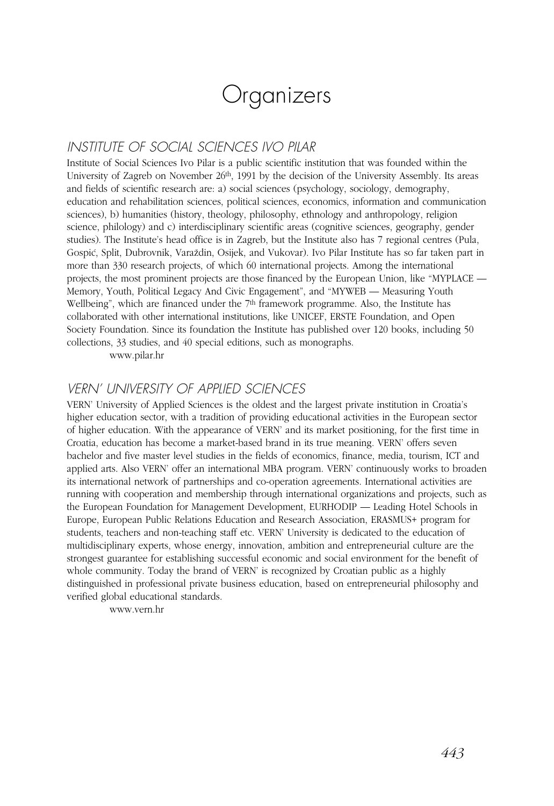# **Organizers**

## INSTITUTE OF SOCIAL SCIENCES IVO PILAR

Institute of Social Sciences Ivo Pilar is a public scientific institution that was founded within the University of Zagreb on November 26th, 1991 by the decision of the University Assembly. Its areas and fields of scientific research are: a) social sciences (psychology, sociology, demography, education and rehabilitation sciences, political sciences, economics, information and communication sciences), b) humanities (history, theology, philosophy, ethnology and anthropology, religion science, philology) and c) interdisciplinary scientific areas (cognitive sciences, geography, gender studies). The Institute's head office is in Zagreb, but the Institute also has 7 regional centres (Pula, Gospić, Split, Dubrovnik, Varaždin, Osijek, and Vukovar). Ivo Pilar Institute has so far taken part in more than 330 research projects, of which 60 international projects. Among the international projects, the most prominent projects are those financed by the European Union, like "MYPLACE — Memory, Youth, Political Legacy And Civic Engagement", and "MYWEB — Measuring Youth Wellbeing", which are financed under the 7<sup>th</sup> framework programme. Also, the Institute has collaborated with other international institutions, like UNICEF, ERSTE Foundation, and Open Society Foundation. Since its foundation the Institute has published over 120 books, including 50 collections, 33 studies, and 40 special editions, such as monographs.

www.pilar.hr

### VERN' UNIVERSITY OF APPLIED SCIENCES

VERN' University of Applied Sciences is the oldest and the largest private institution in Croatia's higher education sector, with a tradition of providing educational activities in the European sector of higher education. With the appearance of VERN' and its market positioning, for the first time in Croatia, education has become a market-based brand in its true meaning. VERN' offers seven bachelor and five master level studies in the fields of economics, finance, media, tourism, ICT and applied arts. Also VERN' offer an international MBA program. VERN' continuously works to broaden its international network of partnerships and co-operation agreements. International activities are running with cooperation and membership through international organizations and projects, such as the European Foundation for Management Development, EURHODIP — Leading Hotel Schools in Europe, European Public Relations Education and Research Association, ERASMUS+ program for students, teachers and non-teaching staff etc. VERN' University is dedicated to the education of multidisciplinary experts, whose energy, innovation, ambition and entrepreneurial culture are the strongest guarantee for establishing successful economic and social environment for the benefit of whole community. Today the brand of VERN' is recognized by Croatian public as a highly distinguished in professional private business education, based on entrepreneurial philosophy and verified global educational standards.

www.vern.hr